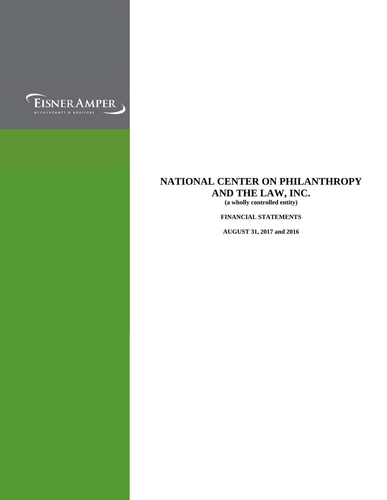

**(a wholly controlled entity)** 

**FINANCIAL STATEMENTS** 

**AUGUST 31, 2017 and 2016**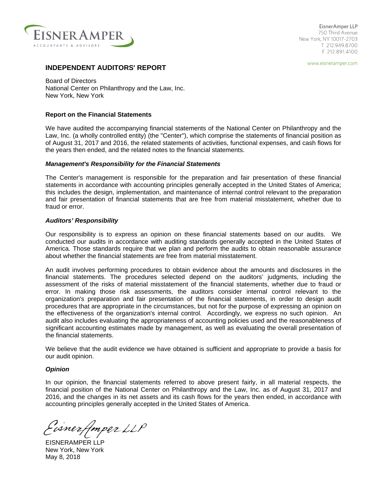

750 Third Avenue New York, NY 10017-2703 T 212.949.8700 F 212.891.4100 EisnerAmper LLP

www.eisneramper.com

## **INDEPENDENT AUDITORS' REPORT**

Board of Directors National Center on Philanthropy and the Law, Inc. New York, New York

#### **Report on the Financial Statements**

We have audited the accompanying financial statements of the National Center on Philanthropy and the Law, Inc. (a wholly controlled entity) (the "Center"), which comprise the statements of financial position as of August 31, 2017 and 2016, the related statements of activities, functional expenses, and cash flows for the years then ended, and the related notes to the financial statements.

#### *Management's Responsibility for the Financial Statements*

The Center's management is responsible for the preparation and fair presentation of these financial statements in accordance with accounting principles generally accepted in the United States of America; this includes the design, implementation, and maintenance of internal control relevant to the preparation and fair presentation of financial statements that are free from material misstatement, whether due to fraud or error.

#### *Auditors' Responsibility*

Our responsibility is to express an opinion on these financial statements based on our audits. We conducted our audits in accordance with auditing standards generally accepted in the United States of America. Those standards require that we plan and perform the audits to obtain reasonable assurance about whether the financial statements are free from material misstatement.

An audit involves performing procedures to obtain evidence about the amounts and disclosures in the financial statements. The procedures selected depend on the auditors' judgments, including the assessment of the risks of material misstatement of the financial statements, whether due to fraud or error. In making those risk assessments, the auditors consider internal control relevant to the organization's preparation and fair presentation of the financial statements, in order to design audit procedures that are appropriate in the circumstances, but not for the purpose of expressing an opinion on the effectiveness of the organization's internal control. Accordingly, we express no such opinion. An audit also includes evaluating the appropriateness of accounting policies used and the reasonableness of significant accounting estimates made by management, as well as evaluating the overall presentation of the financial statements.

We believe that the audit evidence we have obtained is sufficient and appropriate to provide a basis for our audit opinion.

#### *Opinion*

In our opinion, the financial statements referred to above present fairly, in all material respects, the financial position of the National Center on Philanthropy and the Law, Inc. as of August 31, 2017 and 2016, and the changes in its net assets and its cash flows for the years then ended, in accordance with accounting principles generally accepted in the United States of America.

Eisnerfmper LLP

EISNERAMPER LLP New York, New York May 8, 2018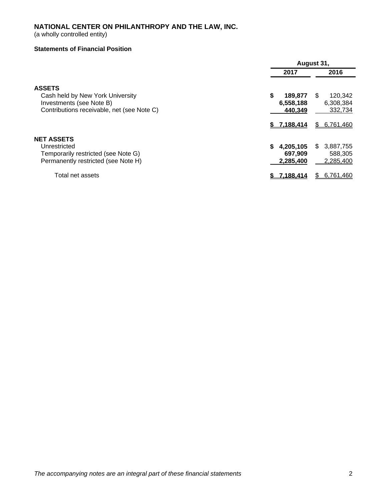(a wholly controlled entity)

## **Statements of Financial Position**

|                                            | August 31,      |                  |  |  |
|--------------------------------------------|-----------------|------------------|--|--|
|                                            | 2017            | 2016             |  |  |
| <b>ASSETS</b>                              |                 |                  |  |  |
| Cash held by New York University           | \$<br>189.877   | \$.<br>120,342   |  |  |
| Investments (see Note B)                   | 6,558,188       | 6,308,384        |  |  |
| Contributions receivable, net (see Note C) | 440.349         | 332.734          |  |  |
|                                            | \$7.188.414     | 6,761,460<br>\$. |  |  |
| <b>NET ASSETS</b>                          |                 |                  |  |  |
| Unrestricted                               | \$<br>4,205,105 | 3,887,755<br>\$. |  |  |
| Temporarily restricted (see Note G)        | 697,909         | 588,305          |  |  |
| Permanently restricted (see Note H)        | 2.285.400       | 2,285,400        |  |  |
| Total net assets                           | 7,188,414       | 6,761,460<br>S.  |  |  |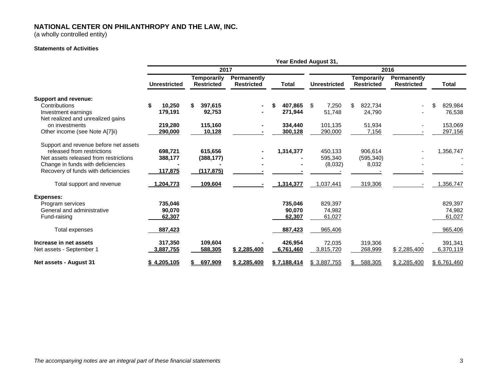(a wholly controlled entity)

#### **Statements of Activities**

|                                                                                                                   |                             |                                         |                                  |                             | Year Ended August 31,       |                                  |                                  |                             |  |
|-------------------------------------------------------------------------------------------------------------------|-----------------------------|-----------------------------------------|----------------------------------|-----------------------------|-----------------------------|----------------------------------|----------------------------------|-----------------------------|--|
|                                                                                                                   |                             | 2017                                    |                                  |                             | 2016                        |                                  |                                  |                             |  |
|                                                                                                                   | <b>Unrestricted</b>         | <b>Temporarily</b><br><b>Restricted</b> | Permanently<br><b>Restricted</b> | <b>Total</b>                | <b>Unrestricted</b>         | Temporarily<br><b>Restricted</b> | Permanently<br><b>Restricted</b> | <b>Total</b>                |  |
| <b>Support and revenue:</b>                                                                                       |                             |                                         |                                  |                             |                             |                                  |                                  |                             |  |
| Contributions<br>Investment earnings<br>Net realized and unrealized gains                                         | 10,250<br>\$<br>179,191     | \$<br>397,615<br>92,753                 |                                  | 407,865<br>271,944          | 7,250<br>\$<br>51,748       | 822,734<br>\$<br>24,790          |                                  | \$<br>829,984<br>76,538     |  |
| on investments<br>Other income (see Note A[7]ii)                                                                  | 219,280<br>290,000          | 115,160<br>10,128                       |                                  | 334,440<br>300,128          | 101.135<br>290,000          | 51,934<br>7,156                  |                                  | 153,069<br>297,156          |  |
| Support and revenue before net assets<br>released from restrictions                                               | 698,721                     | 615,656                                 |                                  | 1,314,377                   | 450,133                     | 906,614                          |                                  | 1,356,747                   |  |
| Net assets released from restrictions<br>Change in funds with deficiencies<br>Recovery of funds with deficiencies | 388,177<br>117,875          | (388, 177)<br>(117, 875)                |                                  |                             | 595,340<br>(8,032)          | (595, 340)<br>8,032              |                                  |                             |  |
| Total support and revenue                                                                                         | 1,204,773                   | 109,604                                 |                                  | 1,314,377                   | 1,037,441                   | 319,306                          |                                  | 1,356,747                   |  |
| <b>Expenses:</b>                                                                                                  |                             |                                         |                                  |                             |                             |                                  |                                  |                             |  |
| Program services<br>General and administrative<br>Fund-raising                                                    | 735,046<br>90,070<br>62,307 |                                         |                                  | 735,046<br>90,070<br>62,307 | 829,397<br>74,982<br>61,027 |                                  |                                  | 829,397<br>74,982<br>61,027 |  |
| Total expenses                                                                                                    | 887,423                     |                                         |                                  | 887,423                     | 965,406                     |                                  |                                  | 965,406                     |  |
| Increase in net assets<br>Net assets - September 1                                                                | 317,350<br>3,887,755        | 109,604<br>588,305                      | \$2,285,400                      | 426,954<br>6,761,460        | 72,035<br>3,815,720         | 319,306<br>268,999               | \$2,285,400                      | 391,341<br>6,370,119        |  |
| Net assets - August 31                                                                                            | \$4,205,105                 | 697,909                                 | \$2,285,400                      | \$7,188,414                 | \$3,887,755                 | 588,305<br>\$                    | \$2,285,400                      | \$6,761,460                 |  |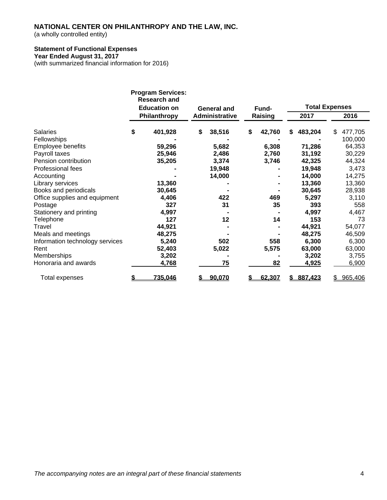(a wholly controlled entity)

## **Statement of Functional Expenses**

## **Year Ended August 31, 2017**

(with summarized financial information for 2016)

|                                 | <b>Program Services:</b><br><b>Research and</b><br><b>Education on</b> | <b>General and</b> | Fund-        |    |         | <b>Total Expenses</b> |  |
|---------------------------------|------------------------------------------------------------------------|--------------------|--------------|----|---------|-----------------------|--|
|                                 | Philanthropy                                                           | Administrative     | Raising      |    | 2017    | 2016                  |  |
| <b>Salaries</b>                 | \$<br>401,928                                                          | \$<br>38,516       | \$<br>42,760 | S. | 483,204 | \$<br>477,705         |  |
| Fellowships                     |                                                                        |                    |              |    |         | 100,000               |  |
| <b>Employee benefits</b>        | 59,296                                                                 | 5,682              | 6,308        |    | 71,286  | 64,353                |  |
| Payroll taxes                   | 25,946                                                                 | 2,486              | 2,760        |    | 31,192  | 30,229                |  |
| Pension contribution            | 35,205                                                                 | 3,374              | 3,746        |    | 42,325  | 44,324                |  |
| Professional fees               |                                                                        | 19,948             |              |    | 19,948  | 3,473                 |  |
| Accounting                      |                                                                        | 14,000             |              |    | 14,000  | 14,275                |  |
| Library services                | 13,360                                                                 |                    |              |    | 13,360  | 13,360                |  |
| Books and periodicals           | 30,645                                                                 |                    |              |    | 30,645  | 28,938                |  |
| Office supplies and equipment   | 4,406                                                                  | 422                | 469          |    | 5,297   | 3,110                 |  |
| Postage                         | 327                                                                    | 31                 | 35           |    | 393     | 558                   |  |
| Stationery and printing         | 4,997                                                                  |                    |              |    | 4,997   | 4,467                 |  |
| Telephone                       | 127                                                                    | 12                 | 14           |    | 153     | 73                    |  |
| Travel                          | 44,921                                                                 |                    |              |    | 44,921  | 54,077                |  |
| Meals and meetings              | 48,275                                                                 |                    |              |    | 48,275  | 46,509                |  |
| Information technology services | 5,240                                                                  | 502                | 558          |    | 6,300   | 6,300                 |  |
| Rent                            | 52,403                                                                 | 5,022              | 5,575        |    | 63,000  | 63,000                |  |
| Memberships                     | 3,202                                                                  |                    |              |    | 3,202   | 3,755                 |  |
| Honoraria and awards            | 4,768                                                                  | 75                 | 82           |    | 4,925   | 6,900                 |  |
| <b>Total expenses</b>           | 735,046                                                                | 90,070             | 62,307       |    | 887,423 | 965,406<br>\$         |  |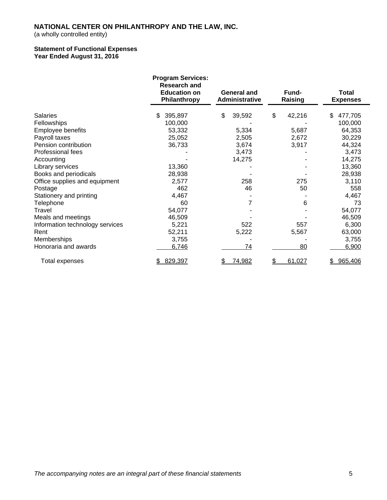(a wholly controlled entity)

#### **Statement of Functional Expenses Year Ended August 31, 2016**

|                                 | <b>Program Services:</b><br><b>Research and</b><br><b>Education on</b><br>Philanthropy | <b>General and</b><br>Administrative | Fund-<br>Raising | <b>Total</b><br><b>Expenses</b> |
|---------------------------------|----------------------------------------------------------------------------------------|--------------------------------------|------------------|---------------------------------|
|                                 |                                                                                        |                                      |                  |                                 |
| <b>Salaries</b>                 | 395,897<br>\$                                                                          | \$<br>39,592                         | \$<br>42,216     | 477,705<br>\$                   |
| Fellowships                     | 100,000                                                                                |                                      |                  | 100,000                         |
| Employee benefits               | 53,332                                                                                 | 5,334                                | 5,687            | 64,353                          |
| Payroll taxes                   | 25,052                                                                                 | 2,505                                | 2,672            | 30,229                          |
| Pension contribution            | 36,733                                                                                 | 3,674                                | 3,917            | 44,324                          |
| <b>Professional fees</b>        |                                                                                        | 3,473                                |                  | 3,473                           |
| Accounting                      |                                                                                        | 14,275                               |                  | 14,275                          |
| Library services                | 13,360                                                                                 |                                      |                  | 13,360                          |
| Books and periodicals           | 28,938                                                                                 |                                      |                  | 28,938                          |
| Office supplies and equipment   | 2,577                                                                                  | 258                                  | 275              | 3,110                           |
| Postage                         | 462                                                                                    | 46                                   | 50               | 558                             |
| Stationery and printing         | 4,467                                                                                  |                                      |                  | 4,467                           |
| Telephone                       | 60                                                                                     | 7                                    | 6                | 73                              |
| Travel                          | 54,077                                                                                 |                                      |                  | 54,077                          |
| Meals and meetings              | 46,509                                                                                 |                                      |                  | 46,509                          |
| Information technology services | 5,221                                                                                  | 522                                  | 557              | 6,300                           |
| Rent                            | 52,211                                                                                 | 5,222                                | 5,567            | 63,000                          |
| Memberships                     | 3,755                                                                                  |                                      |                  | 3,755                           |
| Honoraria and awards            | 6,746                                                                                  | 74                                   | 80               | 6,900                           |
| Total expenses                  | 829,397                                                                                | 74,982<br>\$                         | 61,027<br>\$     | 965,406<br>\$                   |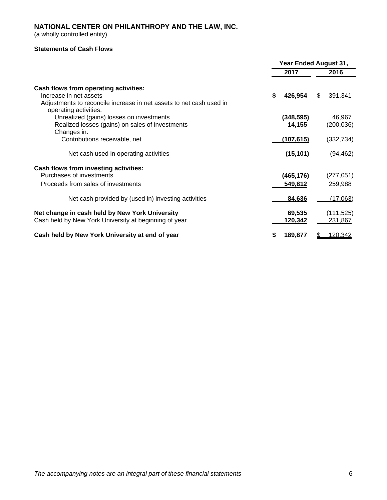(a wholly controlled entity)

## **Statements of Cash Flows**

|                                                                                              | Year Ended August 31, |               |  |
|----------------------------------------------------------------------------------------------|-----------------------|---------------|--|
|                                                                                              | 2017                  | 2016          |  |
| Cash flows from operating activities:                                                        |                       |               |  |
| Increase in net assets                                                                       | \$<br>426,954         | \$<br>391,341 |  |
| Adjustments to reconcile increase in net assets to net cash used in<br>operating activities: |                       |               |  |
| Unrealized (gains) losses on investments                                                     | (348, 595)            | 46,967        |  |
| Realized losses (gains) on sales of investments<br>Changes in:                               | 14,155                | (200, 036)    |  |
| Contributions receivable, net                                                                | (107, 615)            | (332, 734)    |  |
| Net cash used in operating activities                                                        | (15, 101)             | (94, 462)     |  |
| Cash flows from investing activities:                                                        |                       |               |  |
| Purchases of investments                                                                     | (465, 176)            | (277, 051)    |  |
| Proceeds from sales of investments                                                           | 549,812               | 259,988       |  |
| Net cash provided by (used in) investing activities                                          | 84,636                | (17,063)      |  |
| Net change in cash held by New York University                                               | 69,535                | (111, 525)    |  |
| Cash held by New York University at beginning of year                                        | 120,342               | 231,867       |  |
| Cash held by New York University at end of year                                              | <u>189,877</u>        | 120,342<br>\$ |  |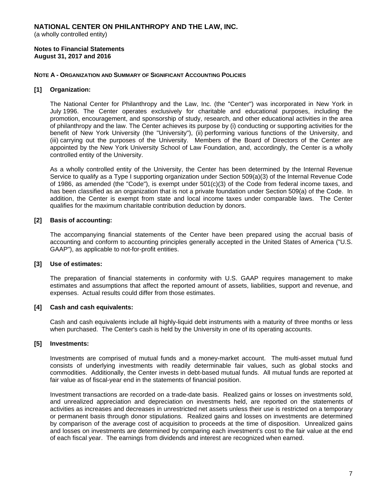(a wholly controlled entity)

**Notes to Financial Statements August 31, 2017 and 2016** 

## **NOTE A - ORGANIZATION AND SUMMARY OF SIGNIFICANT ACCOUNTING POLICIES**

## **[1] Organization:**

The National Center for Philanthropy and the Law, Inc. (the "Center") was incorporated in New York in July 1996. The Center operates exclusively for charitable and educational purposes, including the promotion, encouragement, and sponsorship of study, research, and other educational activities in the area of philanthropy and the law. The Center achieves its purpose by (i) conducting or supporting activities for the benefit of New York University (the "University"), (ii) performing various functions of the University, and (iii) carrying out the purposes of the University. Members of the Board of Directors of the Center are appointed by the New York University School of Law Foundation, and, accordingly, the Center is a wholly controlled entity of the University.

As a wholly controlled entity of the University, the Center has been determined by the Internal Revenue Service to qualify as a Type I supporting organization under Section 509(a)(3) of the Internal Revenue Code of 1986, as amended (the "Code"), is exempt under 501(c)(3) of the Code from federal income taxes, and has been classified as an organization that is not a private foundation under Section 509(a) of the Code. In addition, the Center is exempt from state and local income taxes under comparable laws. The Center qualifies for the maximum charitable contribution deduction by donors.

#### **[2] Basis of accounting:**

The accompanying financial statements of the Center have been prepared using the accrual basis of accounting and conform to accounting principles generally accepted in the United States of America ("U.S. GAAP"), as applicable to not-for-profit entities.

#### **[3] Use of estimates:**

The preparation of financial statements in conformity with U.S. GAAP requires management to make estimates and assumptions that affect the reported amount of assets, liabilities, support and revenue, and expenses. Actual results could differ from those estimates.

#### **[4] Cash and cash equivalents:**

Cash and cash equivalents include all highly-liquid debt instruments with a maturity of three months or less when purchased. The Center's cash is held by the University in one of its operating accounts.

#### **[5] Investments:**

Investments are comprised of mutual funds and a money-market account. The multi-asset mutual fund consists of underlying investments with readily determinable fair values, such as global stocks and commodities. Additionally, the Center invests in debt-based mutual funds. All mutual funds are reported at fair value as of fiscal-year end in the statements of financial position.

Investment transactions are recorded on a trade-date basis. Realized gains or losses on investments sold, and unrealized appreciation and depreciation on investments held, are reported on the statements of activities as increases and decreases in unrestricted net assets unless their use is restricted on a temporary or permanent basis through donor stipulations. Realized gains and losses on investments are determined by comparison of the average cost of acquisition to proceeds at the time of disposition. Unrealized gains and losses on investments are determined by comparing each investment's cost to the fair value at the end of each fiscal year. The earnings from dividends and interest are recognized when earned.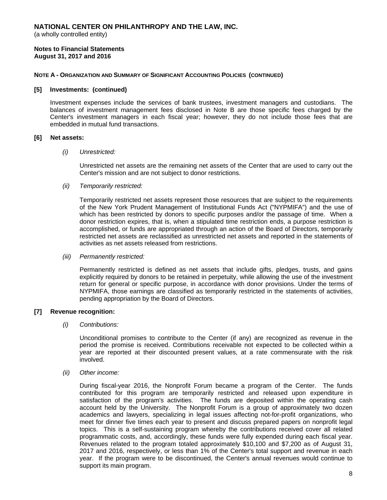(a wholly controlled entity)

#### **Notes to Financial Statements August 31, 2017 and 2016**

#### **NOTE A - ORGANIZATION AND SUMMARY OF SIGNIFICANT ACCOUNTING POLICIES (CONTINUED)**

#### **[5] Investments: (continued)**

Investment expenses include the services of bank trustees, investment managers and custodians. The balances of investment management fees disclosed in Note B are those specific fees charged by the Center's investment managers in each fiscal year; however, they do not include those fees that are embedded in mutual fund transactions.

## **[6] Net assets:**

#### *(i) Unrestricted:*

Unrestricted net assets are the remaining net assets of the Center that are used to carry out the Center's mission and are not subject to donor restrictions.

#### *(ii) Temporarily restricted:*

Temporarily restricted net assets represent those resources that are subject to the requirements of the New York Prudent Management of Institutional Funds Act ("NYPMIFA") and the use of which has been restricted by donors to specific purposes and/or the passage of time. When a donor restriction expires, that is, when a stipulated time restriction ends, a purpose restriction is accomplished, or funds are appropriated through an action of the Board of Directors, temporarily restricted net assets are reclassified as unrestricted net assets and reported in the statements of activities as net assets released from restrictions.

#### *(iii) Permanently restricted:*

Permanently restricted is defined as net assets that include gifts, pledges, trusts, and gains explicitly required by donors to be retained in perpetuity, while allowing the use of the investment return for general or specific purpose, in accordance with donor provisions. Under the terms of NYPMIFA, those earnings are classified as temporarily restricted in the statements of activities, pending appropriation by the Board of Directors.

#### **[7] Revenue recognition:**

#### *(i) Contributions:*

Unconditional promises to contribute to the Center (if any) are recognized as revenue in the period the promise is received. Contributions receivable not expected to be collected within a year are reported at their discounted present values, at a rate commensurate with the risk involved.

#### *(ii) Other income:*

During fiscal-year 2016, the Nonprofit Forum became a program of the Center. The funds contributed for this program are temporarily restricted and released upon expenditure in satisfaction of the program's activities. The funds are deposited within the operating cash account held by the University. The Nonprofit Forum is a group of approximately two dozen academics and lawyers, specializing in legal issues affecting not-for-profit organizations, who meet for dinner five times each year to present and discuss prepared papers on nonprofit legal topics. This is a self-sustaining program whereby the contributions received cover all related programmatic costs, and, accordingly, these funds were fully expended during each fiscal year. Revenues related to the program totaled approximately \$10,100 and \$7,200 as of August 31, 2017 and 2016, respectively, or less than 1% of the Center's total support and revenue in each year. If the program were to be discontinued, the Center's annual revenues would continue to support its main program.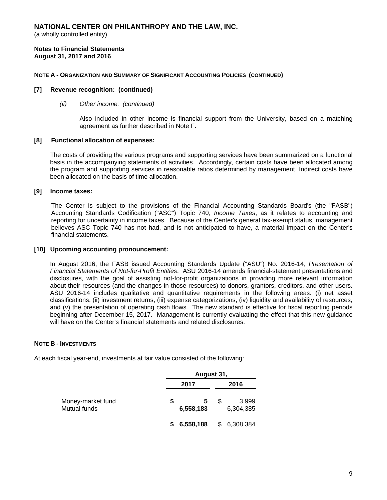(a wholly controlled entity)

**Notes to Financial Statements August 31, 2017 and 2016** 

#### **NOTE A - ORGANIZATION AND SUMMARY OF SIGNIFICANT ACCOUNTING POLICIES (CONTINUED)**

#### **[7] Revenue recognition: (continued)**

#### *(ii) Other income: (continued)*

Also included in other income is financial support from the University, based on a matching agreement as further described in Note F.

#### **[8] Functional allocation of expenses:**

The costs of providing the various programs and supporting services have been summarized on a functional basis in the accompanying statements of activities. Accordingly, certain costs have been allocated among the program and supporting services in reasonable ratios determined by management. Indirect costs have been allocated on the basis of time allocation.

#### **[9] Income taxes:**

The Center is subject to the provisions of the Financial Accounting Standards Board's (the "FASB") Accounting Standards Codification ("ASC") Topic 740, *Income Taxes*, as it relates to accounting and reporting for uncertainty in income taxes. Because of the Center's general tax-exempt status, management believes ASC Topic 740 has not had, and is not anticipated to have, a material impact on the Center's financial statements.

#### **[10] Upcoming accounting pronouncement:**

In August 2016, the FASB issued Accounting Standards Update ("ASU") No. 2016-14, *Presentation of Financial Statements of Not-for-Profit Entities*. ASU 2016-14 amends financial-statement presentations and disclosures, with the goal of assisting not-for-profit organizations in providing more relevant information about their resources (and the changes in those resources) to donors, grantors, creditors, and other users. ASU 2016-14 includes qualitative and quantitative requirements in the following areas: (i) net asset classifications, (ii) investment returns, (iii) expense categorizations, (iv) liquidity and availability of resources, and (v) the presentation of operating cash flows. The new standard is effective for fiscal reporting periods beginning after December 15, 2017. Management is currently evaluating the effect that this new guidance will have on the Center's financial statements and related disclosures.

#### **NOTE B - INVESTMENTS**

At each fiscal year-end, investments at fair value consisted of the following:

|                                   | August 31,          |   |                    |  |  |
|-----------------------------------|---------------------|---|--------------------|--|--|
|                                   | 2017                |   | 2016               |  |  |
| Money-market fund<br>Mutual funds | S<br>b<br>6,558,183 | S | 3.999<br>6,304,385 |  |  |
|                                   | 6,558,188           |   | 6,308,384          |  |  |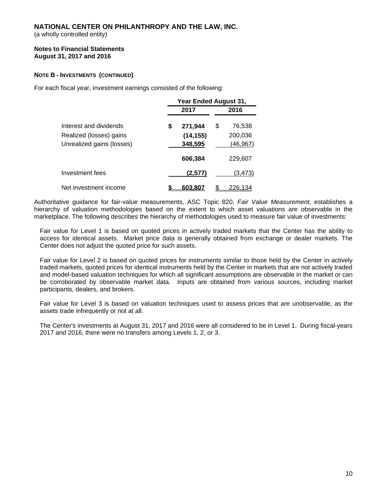(a wholly controlled entity)

#### **Notes to Financial Statements August 31, 2017 and 2016**

## **NOTE B - INVESTMENTS (CONTINUED)**

For each fiscal year, investment earnings consisted of the following:

|                           | Year Ended August 31, |           |    |          |  |
|---------------------------|-----------------------|-----------|----|----------|--|
|                           |                       | 2017      |    | 2016     |  |
| Interest and dividends    | \$                    | 271,944   | \$ | 76,538   |  |
| Realized (losses) gains   |                       | (14, 155) |    | 200,036  |  |
| Unrealized gains (losses) |                       | 348,595   |    | (46,967) |  |
|                           |                       | 606,384   |    | 229,607  |  |
| Investment fees           |                       | (2,577)   |    | (3,473)  |  |
| Net investment income     |                       | 603.807   |    | 226.134  |  |

Authoritative guidance for fair-value measurements, ASC Topic 820, *Fair Value Measurement,* establishes a hierarchy of valuation methodologies based on the extent to which asset valuations are observable in the marketplace. The following describes the hierarchy of methodologies used to measure fair value of investments:

Fair value for Level 1 is based on quoted prices in actively traded markets that the Center has the ability to access for identical assets. Market price data is generally obtained from exchange or dealer markets. The Center does not adjust the quoted price for such assets.

Fair value for Level 2 is based on quoted prices for instruments similar to those held by the Center in actively traded markets, quoted prices for identical instruments held by the Center in markets that are not actively traded and model-based valuation techniques for which all significant assumptions are observable in the market or can be corroborated by observable market data. Inputs are obtained from various sources, including market participants, dealers, and brokers.

Fair value for Level 3 is based on valuation techniques used to assess prices that are unobservable, as the assets trade infrequently or not at all.

The Center's investments at August 31, 2017 and 2016 were all considered to be in Level 1. During fiscal-years 2017 and 2016, there were no transfers among Levels 1, 2, or 3.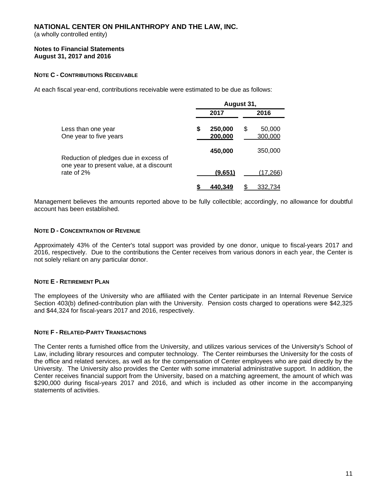(a wholly controlled entity)

#### **Notes to Financial Statements August 31, 2017 and 2016**

#### **NOTE C - CONTRIBUTIONS RECEIVABLE**

At each fiscal year-end, contributions receivable were estimated to be due as follows:

|                                                                                   | August 31, |                    |    |                   |
|-----------------------------------------------------------------------------------|------------|--------------------|----|-------------------|
|                                                                                   |            | 2017               |    | 2016              |
| Less than one year<br>One year to five years                                      | \$         | 250,000<br>200,000 | \$ | 50,000<br>300,000 |
| Reduction of pledges due in excess of<br>one year to present value, at a discount |            | 450,000            |    | 350,000           |
| rate of 2%                                                                        |            | (9,651)            |    | (17,266           |
|                                                                                   |            | 440,349            |    | 332.734           |

Management believes the amounts reported above to be fully collectible; accordingly, no allowance for doubtful account has been established.

#### **NOTE D - CONCENTRATION OF REVENUE**

Approximately 43% of the Center's total support was provided by one donor, unique to fiscal-years 2017 and 2016, respectively. Due to the contributions the Center receives from various donors in each year, the Center is not solely reliant on any particular donor.

#### **NOTE E - RETIREMENT PLAN**

The employees of the University who are affiliated with the Center participate in an Internal Revenue Service Section 403(b) defined-contribution plan with the University. Pension costs charged to operations were \$42,325 and \$44,324 for fiscal-years 2017 and 2016, respectively.

#### **NOTE F - RELATED-PARTY TRANSACTIONS**

The Center rents a furnished office from the University, and utilizes various services of the University's School of Law, including library resources and computer technology. The Center reimburses the University for the costs of the office and related services, as well as for the compensation of Center employees who are paid directly by the University. The University also provides the Center with some immaterial administrative support. In addition, the Center receives financial support from the University, based on a matching agreement, the amount of which was \$290,000 during fiscal-years 2017 and 2016, and which is included as other income in the accompanying statements of activities.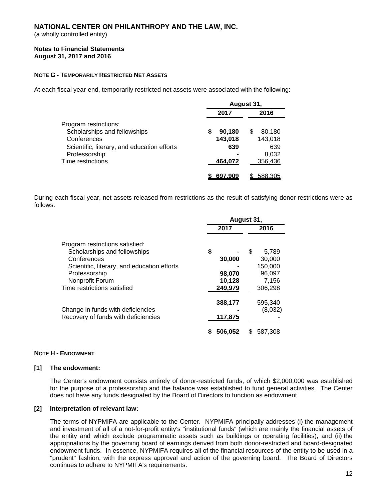(a wholly controlled entity)

#### **Notes to Financial Statements August 31, 2017 and 2016**

#### **NOTE G - TEMPORARILY RESTRICTED NET ASSETS**

At each fiscal year-end, temporarily restricted net assets were associated with the following:

|                                             | August 31,  |             |  |  |
|---------------------------------------------|-------------|-------------|--|--|
|                                             | 2017        | 2016        |  |  |
| Program restrictions:                       |             |             |  |  |
| Scholarships and fellowships                | 90,180<br>S | 80,180<br>S |  |  |
| Conferences                                 | 143,018     | 143,018     |  |  |
| Scientific, literary, and education efforts | 639         | 639         |  |  |
| Professorship                               |             | 8,032       |  |  |
| Time restrictions                           | 464,072     | 356,436     |  |  |
|                                             |             | 588,305     |  |  |

During each fiscal year, net assets released from restrictions as the result of satisfying donor restrictions were as follows:

|                                                                                                                | August 31,                  |  |   |                                       |  |
|----------------------------------------------------------------------------------------------------------------|-----------------------------|--|---|---------------------------------------|--|
|                                                                                                                | 2017                        |  |   | 2016                                  |  |
| Program restrictions satisfied:<br>Scholarships and fellowships<br>Conferences                                 | \$<br>30,000                |  | S | 5,789<br>30,000                       |  |
| Scientific, literary, and education efforts<br>Professorship<br>Nonprofit Forum<br>Time restrictions satisfied | 98,070<br>10,128<br>249,979 |  |   | 150,000<br>96,097<br>7,156<br>306,298 |  |
| Change in funds with deficiencies<br>Recovery of funds with deficiencies                                       | 388,177<br>117,875          |  |   | 595,340<br>(8,032)                    |  |
|                                                                                                                | 506.05                      |  |   | 587.3                                 |  |

#### **NOTE H - ENDOWMENT**

#### **[1] The endowment:**

The Center's endowment consists entirely of donor-restricted funds, of which \$2,000,000 was established for the purpose of a professorship and the balance was established to fund general activities. The Center does not have any funds designated by the Board of Directors to function as endowment.

#### **[2] Interpretation of relevant law:**

The terms of NYPMIFA are applicable to the Center. NYPMIFA principally addresses (i) the management and investment of all of a not-for-profit entity's "institutional funds" (which are mainly the financial assets of the entity and which exclude programmatic assets such as buildings or operating facilities), and (ii) the appropriations by the governing board of earnings derived from both donor-restricted and board-designated endowment funds. In essence, NYPMIFA requires all of the financial resources of the entity to be used in a "prudent" fashion, with the express approval and action of the governing board. The Board of Directors continues to adhere to NYPMIFA's requirements.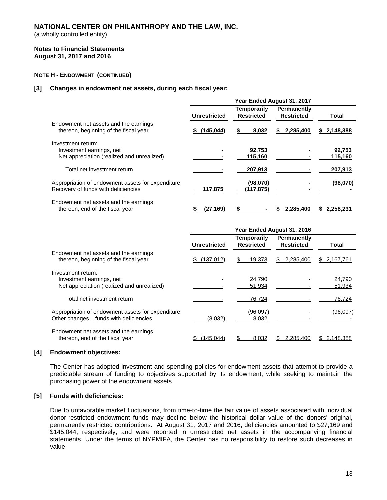(a wholly controlled entity)

#### **Notes to Financial Statements August 31, 2017 and 2016**

## **NOTE H - ENDOWMENT (CONTINUED)**

#### **[3] Changes in endowment net assets, during each fiscal year:**

|                                                                                              | Year Ended August 31, 2017 |                                  |                                  |                   |  |  |
|----------------------------------------------------------------------------------------------|----------------------------|----------------------------------|----------------------------------|-------------------|--|--|
|                                                                                              | <b>Unrestricted</b>        | Temporarily<br><b>Restricted</b> | Permanently<br><b>Restricted</b> | <b>Total</b>      |  |  |
| Endowment net assets and the earnings<br>thereon, beginning of the fiscal year               | (145, 044)                 | 8,032                            | 2,285,400<br>S.                  | \$2,148,388       |  |  |
| Investment return:<br>Investment earnings, net<br>Net appreciation (realized and unrealized) |                            | 92.753<br>115,160                |                                  | 92,753<br>115,160 |  |  |
| Total net investment return                                                                  |                            | 207,913                          |                                  | 207,913           |  |  |
| Appropriation of endowment assets for expenditure<br>Recovery of funds with deficiencies     | 117,875                    | (98,070)<br>(117, 875)           |                                  | (98,070)          |  |  |
| Endowment net assets and the earnings<br>thereon, end of the fiscal year                     | (27.169)                   |                                  | 2.285.400                        | 2.258.231         |  |  |

|                                                                                              | Year Ended August 31, 2016 |                                         |                                  |                  |  |  |  |  |
|----------------------------------------------------------------------------------------------|----------------------------|-----------------------------------------|----------------------------------|------------------|--|--|--|--|
|                                                                                              | <b>Unrestricted</b>        | <b>Temporarily</b><br><b>Restricted</b> | Permanently<br><b>Restricted</b> | <b>Total</b>     |  |  |  |  |
| Endowment net assets and the earnings<br>thereon, beginning of the fiscal year               | (137, 012)<br>S.           | 19,373<br>\$                            | 2,285,400<br>S                   | 2,167,761<br>\$  |  |  |  |  |
| Investment return:<br>Investment earnings, net<br>Net appreciation (realized and unrealized) |                            | 24.790<br>51,934                        |                                  | 24,790<br>51,934 |  |  |  |  |
| Total net investment return                                                                  |                            | 76,724                                  |                                  | 76,724           |  |  |  |  |
| Appropriation of endowment assets for expenditure<br>Other changes – funds with deficiencies | (8,032)                    | (96,097)<br>8,032                       |                                  | (96,097)         |  |  |  |  |
| Endowment net assets and the earnings<br>thereon, end of the fiscal year                     | (145.044)                  | 8,032                                   | 2,285,400                        | 2.148.388<br>S.  |  |  |  |  |

#### **[4] Endowment objectives:**

The Center has adopted investment and spending policies for endowment assets that attempt to provide a predictable stream of funding to objectives supported by its endowment, while seeking to maintain the purchasing power of the endowment assets.

## **[5] Funds with deficiencies:**

Due to unfavorable market fluctuations, from time-to-time the fair value of assets associated with individual donor-restricted endowment funds may decline below the historical dollar value of the donors' original, permanently restricted contributions. At August 31, 2017 and 2016, deficiencies amounted to \$27,169 and \$145,044, respectively, and were reported in unrestricted net assets in the accompanying financial statements. Under the terms of NYPMIFA, the Center has no responsibility to restore such decreases in value.